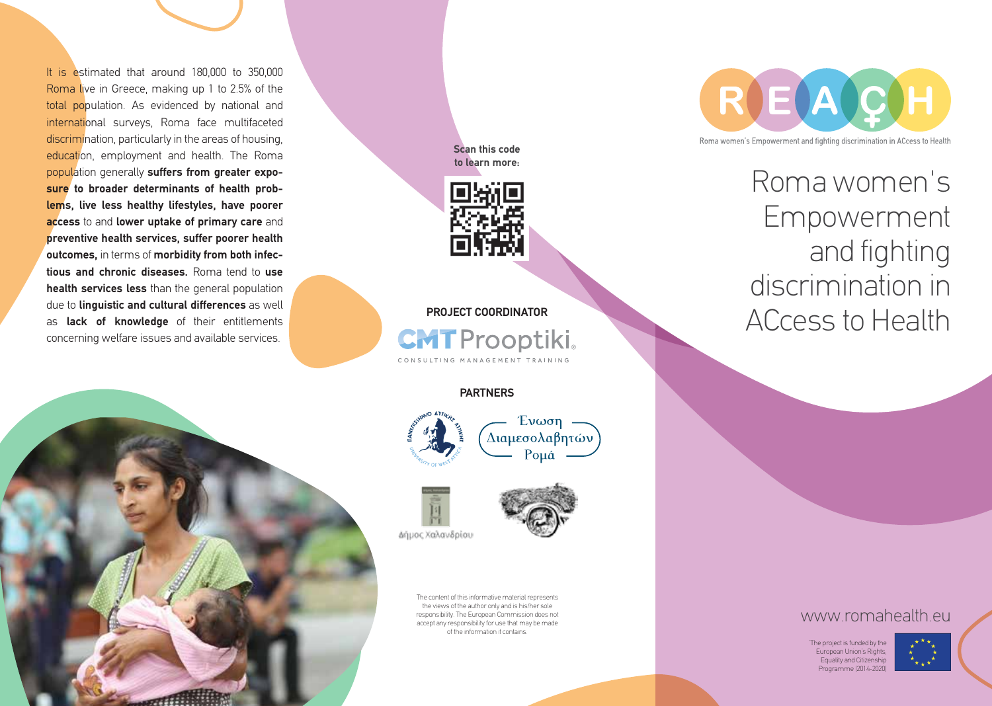It is estimated that around 180,000 to 350,000 Roma live in Greece, making up 1 to 2.5% of the total population. As evidenced by national and international surveys, Roma face multifaceted discrimination, particularly in the areas of housing, education, employment and health. The Roma population generally **suffers from greater exposure to broader determinants of health problems, live less healthy lifestyles, have poorer access** to and **lower uptake of primary care** and **preventive health services, suffer poorer health outcomes,** in terms of **morbidity from both infectious and chronic diseases.** Roma tend to **use health services less** than the general population due to **linguistic and cultural differences** as well as **lack of knowledge** of their entitlements concerning welfare issues and available services.



**Scan this code to learn more:**



**PROJECT COORDINATOR CMT** Prooptiki.

**PARTNERS**







The content of this informative material represents the views of the author only and is his/her sole responsibility. The European Commission does not accept any responsibility for use that may be made of the information it contains.



Roma women's Empowerment and fighting discrimination in ACcess to Health

## www.romahealth.eu

'The project is funded by the European Union's Rights, Equality and Citizenship Programme (2014-2020)